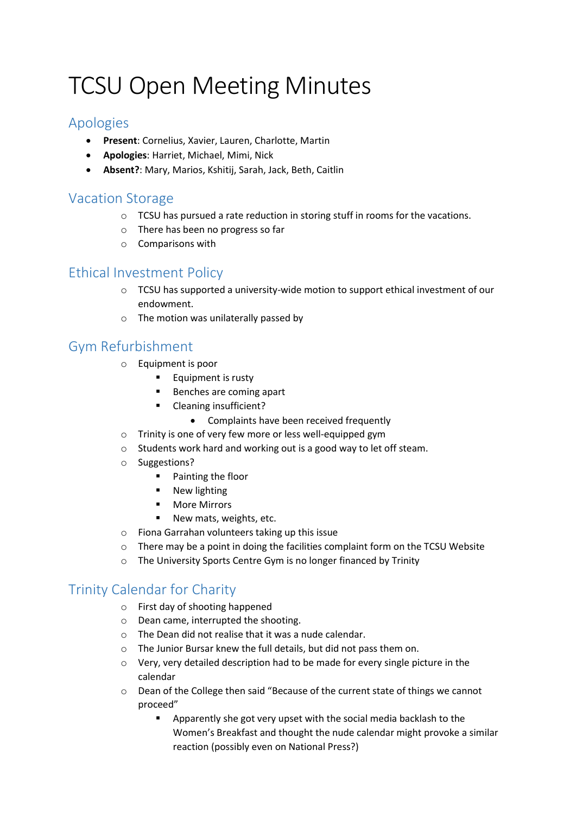# TCSU Open Meeting Minutes

#### Apologies

- **Present**: Cornelius, Xavier, Lauren, Charlotte, Martin
- **Apologies**: Harriet, Michael, Mimi, Nick
- **Absent?**: Mary, Marios, Kshitij, Sarah, Jack, Beth, Caitlin

## Vacation Storage

- $\circ$  TCSU has pursued a rate reduction in storing stuff in rooms for the vacations.
- o There has been no progress so far
- o Comparisons with

#### Ethical Investment Policy

- $\circ$  TCSU has supported a university-wide motion to support ethical investment of our endowment.
- o The motion was unilaterally passed by

## Gym Refurbishment

- o Equipment is poor
	- **Equipment is rusty**
	- Benches are coming apart
	- **E** Cleaning insufficient?
		- Complaints have been received frequently
- o Trinity is one of very few more or less well-equipped gym
- o Students work hard and working out is a good way to let off steam.
- o Suggestions?
	- **Painting the floor**
	- **New lighting**
	- **More Mirrors**
	- **New mats, weights, etc.**
- o Fiona Garrahan volunteers taking up this issue
- $\circ$  There may be a point in doing the facilities complaint form on the TCSU Website
- o The University Sports Centre Gym is no longer financed by Trinity

## Trinity Calendar for Charity

- o First day of shooting happened
- o Dean came, interrupted the shooting.
- o The Dean did not realise that it was a nude calendar.
- o The Junior Bursar knew the full details, but did not pass them on.
- o Very, very detailed description had to be made for every single picture in the calendar
- o Dean of the College then said "Because of the current state of things we cannot proceed"
	- **Apparently she got very upset with the social media backlash to the** Women's Breakfast and thought the nude calendar might provoke a similar reaction (possibly even on National Press?)